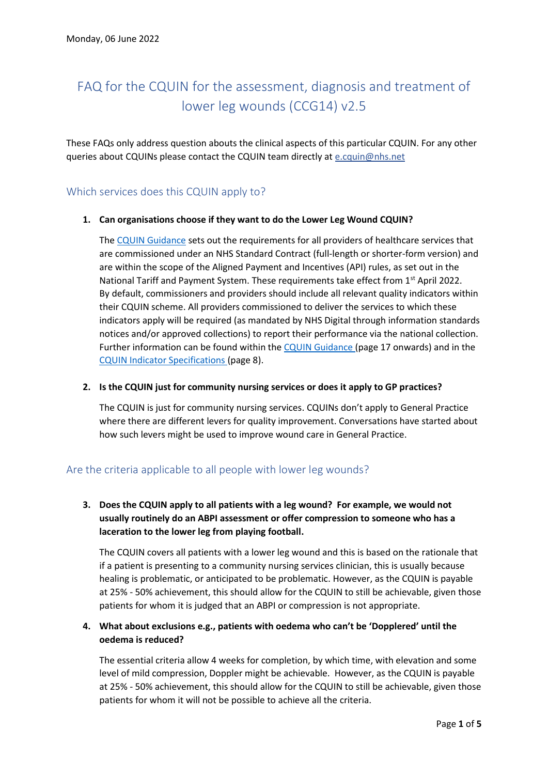# FAQ for the CQUIN for the assessment, diagnosis and treatment of lower leg wounds (CCG14) v2.5

These FAQs only address question abouts the clinical aspects of this particular CQUIN. For any other queries about CQUINs please contact the CQUIN team directly at [e.cquin@nhs.net](mailto:e.cquin@nhs.net)

# Which services does this CQUIN apply to?

## **1. Can organisations choose if they want to do the Lower Leg Wound CQUIN?**

The [CQUIN Guidance](https://www.england.nhs.uk/wp-content/uploads/2021/12/B1119-i-cquin-guidance-22-23.pdf) sets out the requirements for all providers of healthcare services that are commissioned under an NHS Standard Contract (full-length or shorter-form version) and are within the scope of the Aligned Payment and Incentives (API) rules, as set out in the National Tariff and Payment System. These requirements take effect from 1<sup>st</sup> April 2022. By default, commissioners and providers should include all relevant quality indicators within their CQUIN scheme. All providers commissioned to deliver the services to which these indicators apply will be required (as mandated by NHS Digital through information standards notices and/or approved collections) to report their performance via the national collection. Further information can be found within th[e CQUIN Guidance](https://www.england.nhs.uk/wp-content/uploads/2021/12/B1119-i-cquin-guidance-22-23.pdf) (page 17 onwards) and in the [CQUIN Indicator Specifications](https://www.england.nhs.uk/wp-content/uploads/2021/12/B1119-ii-cquin-annex-indicator-specifications.pdf) (page 8).

### **2. Is the CQUIN just for community nursing services or does it apply to GP practices?**

The CQUIN is just for community nursing services. CQUINs don't apply to General Practice where there are different levers for quality improvement. Conversations have started about how such levers might be used to improve wound care in General Practice.

# Are the criteria applicable to all people with lower leg wounds?

# **3. Does the CQUIN apply to all patients with a leg wound? For example, we would not usually routinely do an ABPI assessment or offer compression to someone who has a laceration to the lower leg from playing football.**

The CQUIN covers all patients with a lower leg wound and this is based on the rationale that if a patient is presenting to a community nursing services clinician, this is usually because healing is problematic, or anticipated to be problematic. However, as the CQUIN is payable at 25% - 50% achievement, this should allow for the CQUIN to still be achievable, given those patients for whom it is judged that an ABPI or compression is not appropriate.

## **4. What about exclusions e.g., patients with oedema who can't be 'Dopplered' until the oedema is reduced?**

The essential criteria allow 4 weeks for completion, by which time, with elevation and some level of mild compression, Doppler might be achievable. However, as the CQUIN is payable at 25% - 50% achievement, this should allow for the CQUIN to still be achievable, given those patients for whom it will not be possible to achieve all the criteria.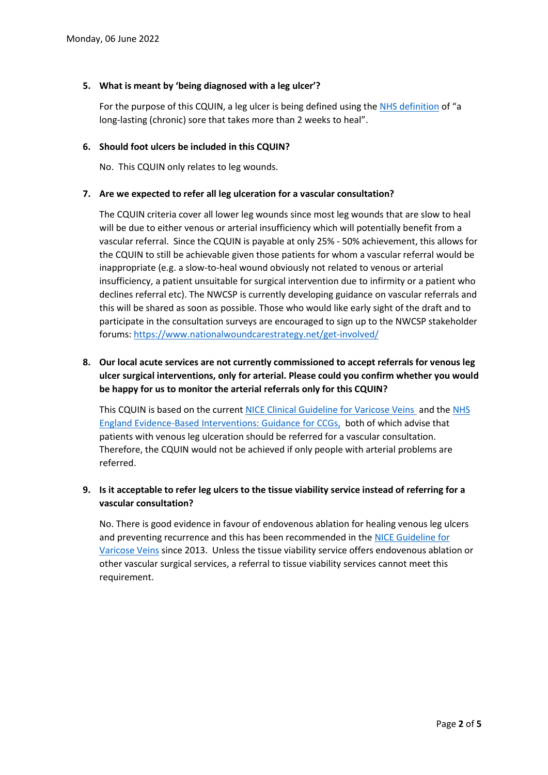## **5. What is meant by 'being diagnosed with a leg ulcer'?**

For the purpose of this CQUIN, a leg ulcer is being defined using th[e NHS definition](https://www.nhs.uk/conditions/leg-ulcer/) of "a long-lasting (chronic) sore that takes more than 2 weeks to heal".

### **6. Should foot ulcers be included in this CQUIN?**

No. This CQUIN only relates to leg wounds.

## **7. Are we expected to refer all leg ulceration for a vascular consultation?**

The CQUIN criteria cover all lower leg wounds since most leg wounds that are slow to heal will be due to either venous or arterial insufficiency which will potentially benefit from a vascular referral. Since the CQUIN is payable at only 25% - 50% achievement, this allows for the CQUIN to still be achievable given those patients for whom a vascular referral would be inappropriate (e.g. a slow-to-heal wound obviously not related to venous or arterial insufficiency, a patient unsuitable for surgical intervention due to infirmity or a patient who declines referral etc). The NWCSP is currently developing guidance on vascular referrals and this will be shared as soon as possible. Those who would like early sight of the draft and to participate in the consultation surveys are encouraged to sign up to the NWCSP stakeholder forums: <https://www.nationalwoundcarestrategy.net/get-involved/>

# **8. Our local acute services are not currently commissioned to accept referrals for venous leg ulcer surgical interventions, only for arterial. Please could you confirm whether you would be happy for us to monitor the arterial referrals only for this CQUIN?**

This CQUIN is based on the curren[t NICE Clinical Guideline for Varicose Veins](https://www.nice.org.uk/guidance/cg168) and th[e NHS](https://www.england.nhs.uk/wp-content/uploads/2018/11/ebi-statutory-guidance-v2.pdf)  [England Evidence-Based Interventions: Guidance for CCGs,](https://www.england.nhs.uk/wp-content/uploads/2018/11/ebi-statutory-guidance-v2.pdf) both of which advise that patients with venous leg ulceration should be referred for a vascular consultation. Therefore, the CQUIN would not be achieved if only people with arterial problems are referred.

# **9. Is it acceptable to refer leg ulcers to the tissue viability service instead of referring for a vascular consultation?**

No. There is good evidence in favour of endovenous ablation for healing venous leg ulcers and preventing recurrence and this has been recommended in the [NICE Guideline for](https://www.nice.org.uk/guidance/cg168)  [Varicose Veins](https://www.nice.org.uk/guidance/cg168) since 2013. Unless the tissue viability service offers endovenous ablation or other vascular surgical services, a referral to tissue viability services cannot meet this requirement.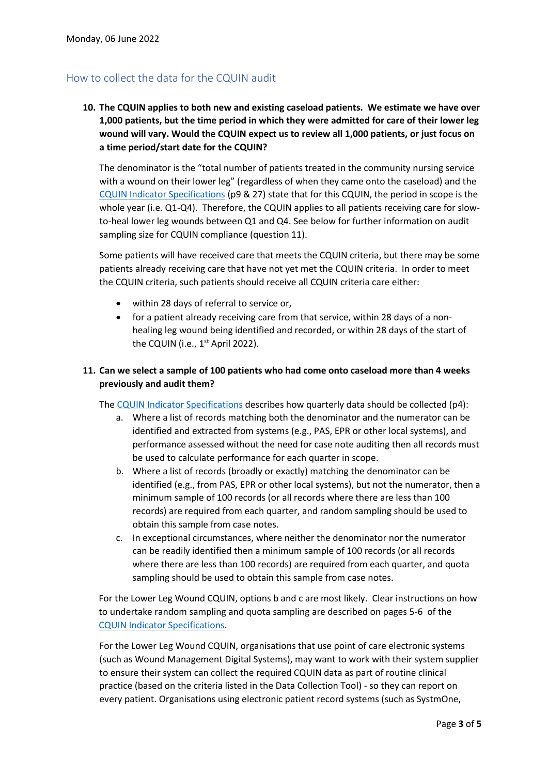# How to collect the data for the CQUIN audit

**10. The CQUIN applies to both new and existing caseload patients. We estimate we have over 1,000 patients, but the time period in which they were admitted for care of their lower leg wound will vary. Would the CQUIN expect us to review all 1,000 patients, or just focus on a time period/start date for the CQUIN?**

The denominator is the "total number of patients treated in the community nursing service with a wound on their lower leg" (regardless of when they came onto the caseload) and the [CQUIN Indicator Specifications](https://www.england.nhs.uk/wp-content/uploads/2021/12/B1119-ii-cquin-annex-indicator-specifications.pdf) (p9 & 27) state that for this CQUIN, the period in scope is the whole year (i.e. Q1-Q4). Therefore, the CQUIN applies to all patients receiving care for slowto-heal lower leg wounds between Q1 and Q4. See below for further information on audit sampling size for CQUIN compliance (question 11).

Some patients will have received care that meets the CQUIN criteria, but there may be some patients already receiving care that have not yet met the CQUIN criteria. In order to meet the CQUIN criteria, such patients should receive all CQUIN criteria care either:

- within 28 days of referral to service or,
- for a patient already receiving care from that service, within 28 days of a nonhealing leg wound being identified and recorded, or within 28 days of the start of the CQUIN (i.e.,  $1<sup>st</sup>$  April 2022).

## **11. Can we select a sample of 100 patients who had come onto caseload more than 4 weeks previously and audit them?**

The [CQUIN Indicator Specifications](https://protect-eu.mimecast.com/s/YQYUCOMnNs2JVPuvjCU2) describes how quarterly data should be collected (p4):

- a. Where a list of records matching both the denominator and the numerator can be identified and extracted from systems (e.g., PAS, EPR or other local systems), and performance assessed without the need for case note auditing then all records must be used to calculate performance for each quarter in scope.
- b. Where a list of records (broadly or exactly) matching the denominator can be identified (e.g., from PAS, EPR or other local systems), but not the numerator, then a minimum sample of 100 records (or all records where there are less than 100 records) are required from each quarter, and random sampling should be used to obtain this sample from case notes.
- c. In exceptional circumstances, where neither the denominator nor the numerator can be readily identified then a minimum sample of 100 records (or all records where there are less than 100 records) are required from each quarter, and quota sampling should be used to obtain this sample from case notes.

For the Lower Leg Wound CQUIN, options b and c are most likely. Clear instructions on how to undertake random sampling and quota sampling are described on pages 5-6 of the [CQUIN Indicator Specifications.](https://www.england.nhs.uk/wp-content/uploads/2021/12/B1119-ii-cquin-annex-indicator-specifications.pdf)

For the Lower Leg Wound CQUIN, organisations that use point of care electronic systems (such as Wound Management Digital Systems), may want to work with their system supplier to ensure their system can collect the required CQUIN data as part of routine clinical practice (based on the criteria listed in the Data Collection Tool) - so they can report on every patient. Organisations using electronic patient record systems (such as SystmOne,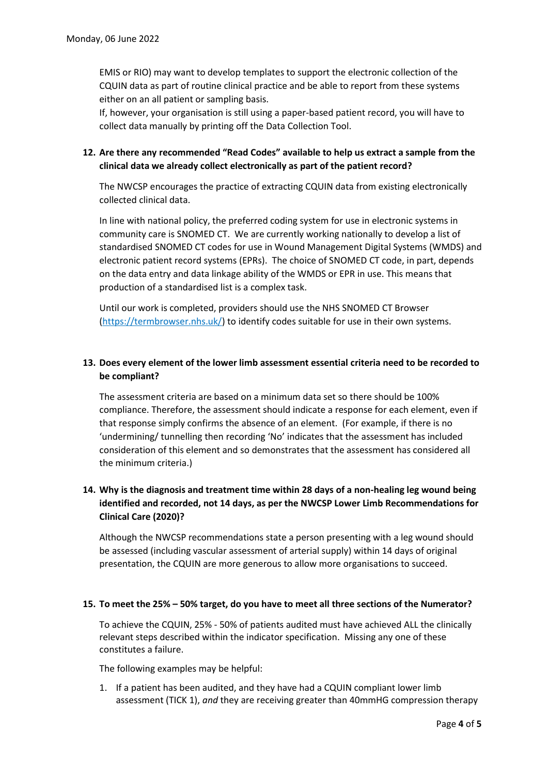EMIS or RIO) may want to develop templates to support the electronic collection of the CQUIN data as part of routine clinical practice and be able to report from these systems either on an all patient or sampling basis.

If, however, your organisation is still using a paper-based patient record, you will have to collect data manually by printing off the Data Collection Tool.

## **12. Are there any recommended "Read Codes" available to help us extract a sample from the clinical data we already collect electronically as part of the patient record?**

The NWCSP encourages the practice of extracting CQUIN data from existing electronically collected clinical data.

In line with national policy, the preferred coding system for use in electronic systems in community care is SNOMED CT. We are currently working nationally to develop a list of standardised SNOMED CT codes for use in Wound Management Digital Systems (WMDS) and electronic patient record systems (EPRs). The choice of SNOMED CT code, in part, depends on the data entry and data linkage ability of the WMDS or EPR in use. This means that production of a standardised list is a complex task.

Until our work is completed, providers should use the NHS SNOMED CT Browser [\(https://termbrowser.nhs.uk/\)](https://termbrowser.nhs.uk/) to identify codes suitable for use in their own systems.

# **13. Does every element of the lower limb assessment essential criteria need to be recorded to be compliant?**

The assessment criteria are based on a minimum data set so there should be 100% compliance. Therefore, the assessment should indicate a response for each element, even if that response simply confirms the absence of an element. (For example, if there is no 'undermining/ tunnelling then recording 'No' indicates that the assessment has included consideration of this element and so demonstrates that the assessment has considered all the minimum criteria.)

## **14. Why is the diagnosis and treatment time within 28 days of a non-healing leg wound being identified and recorded, not 14 days, as per the NWCSP Lower Limb Recommendations for Clinical Care (2020)?**

Although the NWCSP recommendations state a person presenting with a leg wound should be assessed (including vascular assessment of arterial supply) within 14 days of original presentation, the CQUIN are more generous to allow more organisations to succeed.

#### **15. To meet the 25% – 50% target, do you have to meet all three sections of the Numerator?**

To achieve the CQUIN, 25% - 50% of patients audited must have achieved ALL the clinically relevant steps described within the indicator specification. Missing any one of these constitutes a failure.

The following examples may be helpful:

1. If a patient has been audited, and they have had a CQUIN compliant lower limb assessment (TICK 1), *and* they are receiving greater than 40mmHG compression therapy